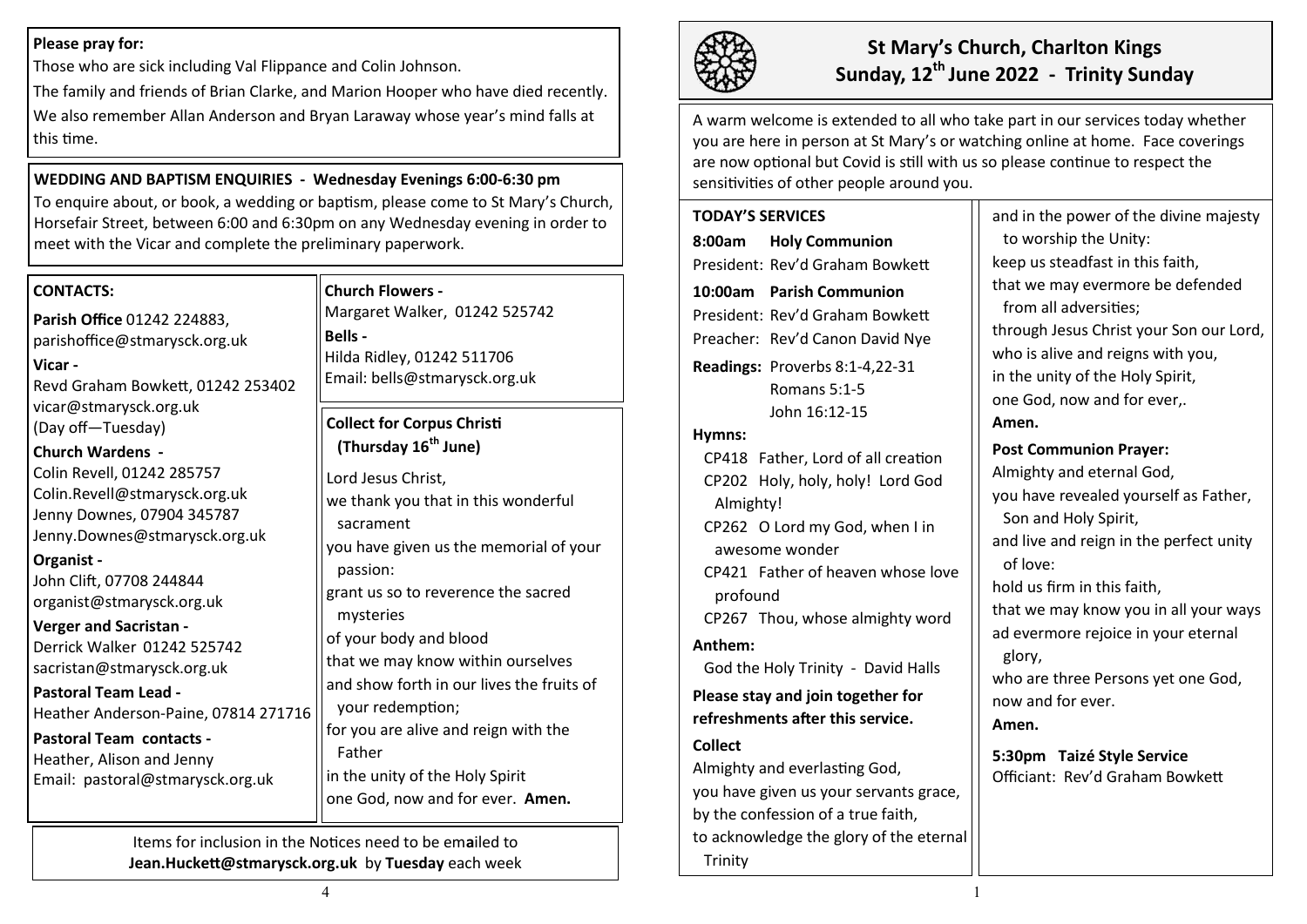## **Please pray for:**

Those who are sick including Val Flippance and Colin Johnson.

The family and friends of Brian Clarke, and Marion Hooper who have died recently. We also remember Allan Anderson and Bryan Laraway whose year's mind falls at this time.

**WEDDING AND BAPTISM ENQUIRIES - Wednesday Evenings 6:00-6:30 pm**  To enquire about, or book, a wedding or baptism, please come to St Mary's Church, Horsefair Street, between 6:00 and 6:30pm on any Wednesday evening in order to meet with the Vicar and complete the preliminary paperwork.

## **CONTACTS:**

**Parish Office** 01242 224883, parishoffice@stmarysck.org.uk **Vicar -**

Revd Graham Bowkett, 01242 253402 vicar@stmarysck.org.uk (Day off—Tuesday)

**Church Wardens -** Colin Revell, 01242 285757 Colin.Revell@stmarysck.org.uk Jenny Downes, 07904 345787 Jenny.Downes@stmarysck.org.uk

## **Organist -**

John Clift, 07708 244844 organist@stmarysck.org.uk

## **Verger and Sacristan -**

Derrick Walker 01242 525742 sacristan@stmarysck.org.uk

**Pastoral Team Lead -** Heather Anderson-Paine, 07814 271716

**Pastoral Team contacts -** Heather, Alison and Jenny Email: pastoral@stmarysck.org.uk

## **Church Flowers -**

Margaret Walker, 01242 525742 **Bells -** Hilda Ridley, 01242 511706 Email: bells@stmarysck.org.uk

## **Collect for Corpus Christi (Thursday 16th June)**

Lord Jesus Christ, we thank you that in this wonderful sacrament you have given us the memorial of your passion: grant us so to reverence the sacred mysteries of your body and blood that we may know within ourselves and show forth in our lives the fruits of your redemption; for you are alive and reign with the Father in the unity of the Holy Spirit one God, now and for ever. **Amen.**

Items for inclusion in the Notices need to be em**a**iled to **Jean.Huckett@stmarysck.org.uk** by **Tuesday** each week



# **St Mary's Church, Charlton Kings Sunday, 12th June 2022 - Trinity Sunday**

A warm welcome is extended to all who take part in our services today whether you are here in person at St Mary's or watching online at home. Face coverings are now optional but Covid is still with us so please continue to respect the sensitivities of other people around you.

## **TODAY'S SERVICES 8:00am Holy Communion** President: Rev'd Graham Bowkett **10:00am Parish Communion**  President: Rev'd Graham Bowkett Preacher: Rev'd Canon David Nye **Readings:** Proverbs 8:1-4,22-31 Romans 5:1-5 John 16:12-15 **Hymns:** CP418 Father, Lord of all creation CP202 Holy, holy, holy! Lord God Almighty! CP262 O Lord my God, when I in awesome wonder CP421 Father of heaven whose love profound CP267 Thou, whose almighty word **Anthem:**  God the Holy Trinity - David Halls **Please stay and join together for refreshments after this service. Collect**  Almighty and everlasting God, you have given us your servants grace, by the confession of a true faith,

to acknowledge the glory of the eternal Trinity

and in the power of the divine majesty to worship the Unity: keep us steadfast in this faith, that we may evermore be defended from all adversities; through Jesus Christ your Son our Lord, who is alive and reigns with you, in the unity of the Holy Spirit, one God, now and for ever,. **Amen. Post Communion Prayer:** Almighty and eternal God, you have revealed yourself as Father, Son and Holy Spirit, and live and reign in the perfect unity of love: hold us firm in this faith, that we may know you in all your ways ad evermore rejoice in your eternal glory, who are three Persons yet one God, now and for ever.

**Amen.**

**5:30pm Taizé Style Service** Officiant: Rev'd Graham Bowkett